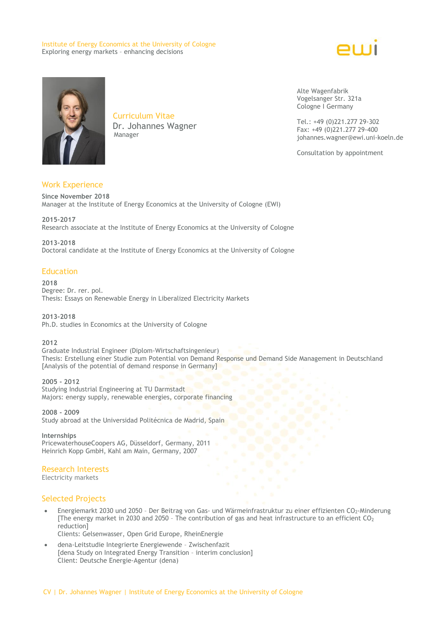#### Institute of Energy Economics at the University of Cologne Exploring energy markets – enhancing decisions





Curriculum Vitae Dr. Johannes Wagner Manager

Alte Wagenfabrik Vogelsanger Str. 321a Cologne I Germany

Tel.: +49 (0)221.277 29-302 Fax: +49 (0)221.277 29-400 johannes.wagner@ewi.uni-koeln.de

Consultation by appointment

# Work Experience

**Since November 2018** Manager at the Institute of Energy Economics at the University of Cologne (EWI)

**2015-2017** Research associate at the Institute of Energy Economics at the University of Cologne

**2013-2018** Doctoral candidate at the Institute of Energy Economics at the University of Cologne

#### Education

**2018**

Degree: Dr. rer. pol. Thesis: Essays on Renewable Energy in Liberalized Electricity Markets

**2013-2018** Ph.D. studies in Economics at the University of Cologne

**2012** Graduate Industrial Engineer (Diplom-Wirtschaftsingenieur) Thesis: Erstellung einer Studie zum Potential von Demand Response und Demand Side Management in Deutschland [Analysis of the potential of demand response in Germany]

**2005 - 2012**

Studying Industrial Engineering at TU Darmstadt Majors: energy supply, renewable energies, corporate financing

**2008 - 2009** Study abroad at the Universidad Politécnica de Madrid, Spain

**Internships** PricewaterhouseCoopers AG, Düsseldorf, Germany, 2011 Heinrich Kopp GmbH, Kahl am Main, Germany, 2007

# Research Interests

Electricity markets

# Selected Projects

 Energiemarkt 2030 und 2050 – Der Beitrag von Gas- und Wärmeinfrastruktur zu einer effizienten CO2-Minderung [The energy market in 2030 and 2050 - The contribution of gas and heat infrastructure to an efficient  $CO<sub>2</sub>$ reduction]

Clients: Gelsenwasser, Open Grid Europe, RheinEnergie

 dena-Leitstudie Integrierte Energiewende – Zwischenfazit [dena Study on Integrated Energy Transition – interim conclusion] Client: Deutsche Energie-Agentur (dena)